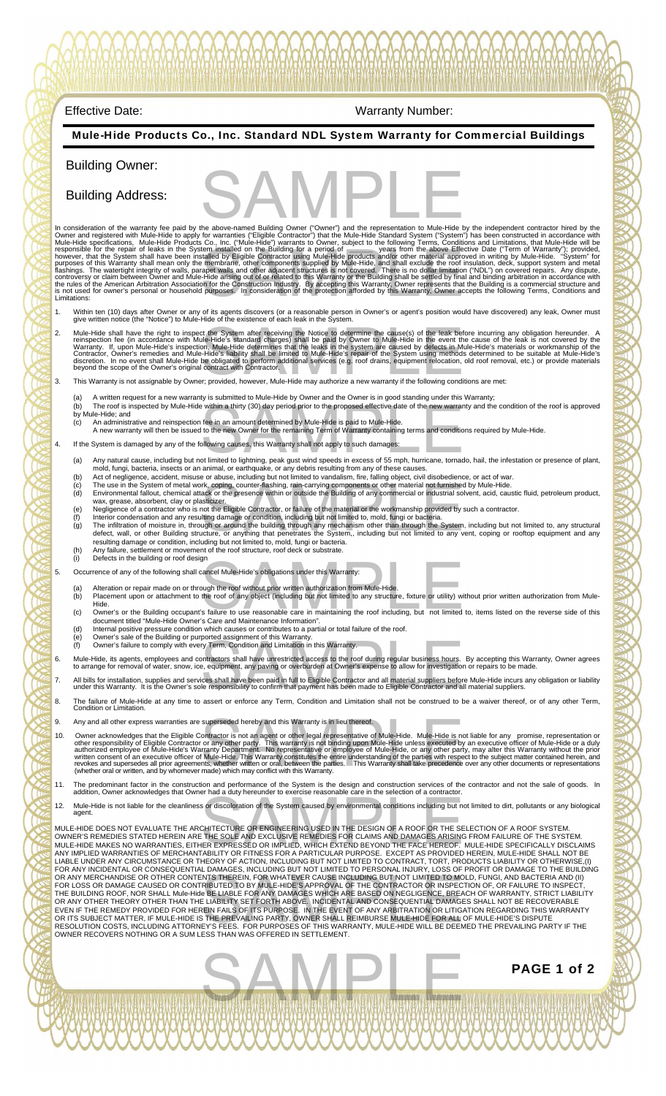## Mule-Hide Products Co., Inc. Standard NDL System Warranty for Commercial Buildings  Effective Date: Warranty Number:  Building Owner: Building Address: In consideration of the warranty fee paid by the above-named Building Owner ("Owner") and the representation to Mule-Hide by the independent contractor hired by the DWine-Hide by the independent contractor hired by the Mul 1. Within ten (10) days after Owner or any of its agents discovers (or a reasonable person in Owner's or agent's position would have discovered) any leak, Owner must<br>give written notice (the "Notice") to Mule-Hide of the e 2. Mule-Hide shall have the right to inspect the System after receiving the Notice to determine the cause(s) of the leak before incurring any obligation hereunder. A reinspection, include Hide is standard charges) shall be 3. This Warranty is not assignable by Owner; provided, however, Mule-Hide may authorize a new warranty if the following conditions are met: (a) A written request for a new warranty is submitted to Mule-Hide by Owner and the Owner is in good standing under this Warranty;<br>(b) The roof is inspected by Mule-Hide within a thirty (30) day period prior to the propose by Mule-Hide; and (c) An administrative and reinspection fee in an amount determined by Mule-Hide is paid to Mule-Hide.<br>A new warranty will then be issued to the new Owner for the remaining Term of Warranty containing terms and conditions r 4. If the System is damaged by any of the following causes, this Warranty shall not apply to such damages: (a) Any natural cause, including but not limited to lightning, peak gust wind speeds in excess of 55 mph, hurricane, tornado, hail, the infestation or presence of plant, mold, fungi, bacteria, insects or an animal, or earthquake, or any debris resulting from any of these causes.<br>(b) Act of negligence, accident, misuse or abuse, including but not limited to vandalism, fire, falling object, wax, grease, absorbent, clay or plasticizer. (e) Negligence of a contractor who is not the Eligible Contractor, or failure of the material or the workmanship provided by such a contractor. (f) Interior condensation and any resulting damage or condition, including but not limited to, mold, fungi or bacteria.<br>(g) The infiltration of moisture in, through or around the building through any mechanism other than t resulting damage or condition, including but not limited to, mold, fungi or bacteria. (h) Any failure, settlement or movement of the roof structure, roof deck or substrate. (i) Defects in the building or roof design 5. Occurrence of any of the following shall cancel Mule-Hide's obligations under this Warranty: (a) Alteration or repair made on or through the roof without prior written authorization from Mule-Hide.<br>(b) Placement upon or attachment to the roof of any object (including but not limited to any structure, fixture or ut (c) Owner's or the Building occupant's failure to use reasonable care in maintaining the roof including, but not limited to, items listed on the reverse side of this document titled "Mule-Hide Owner's Care and Maintenance (e) Owner's sale of the Building or purported assignment of this Warranty. Owner's failure to comply with every Term, Condition and Limitation in this Warranty. 6. Mule-Hide, its agents, employees and contractors shall have unrestricted access to the roof during regular business hours. By accepting this Warranty, Owner agrees<br>to arrange for removal of water, snow, ice, equipment, 7. All bills for installation, supplies and services shall have been paid in full to Eligible Contractor and all material suppliers before Mule-Hide incurs any obligation or liability<br>under this Warranty. It is the Owner's 8. The failure of Mule-Hide at any time to assert or enforce any Term, Condition and Limitation shall not be construed to be a waiver thereof, or of any other Term, Condition or Limitation. 9. Any and all other express warranties are superseded hereby and this Warranty is in lieu thereof. 9. Any and all other express warranties are superseded hereby and this Warranty is in lieu thereof.<br>10. Owner acknowledges that the Eligible Contractor is not an agent or other legal representative of Mule-Hide. Mule-Hide 11. The predominant factor in the construction and performance of the System is the design and construction services of the contractor and not the sale of goods. In<br>addition, Owner acknowledges that Owner had a duty hereun 12. Mule-Hide is not liable for the cleanliness or discoloration of the System caused by environmental conditions including but not limited to dirt, pollutants or any biological agent. 12. Mule-Hide is not liable for the cleanliness or discoloration of the System caused by environmental conditions including but not limited to dirt, pollutants or any biological<br>agent.<br>MULE-HIDE DOES NOT EVALUATE THE ARCHI the above-named Building Owner ("Owner") and the representation to Mule-Hide by the tem installed on the Building for a period of<br>statellar the Building for a period of the material approved in<br>talled by Eligible Contractor using Mule-Hide products and/or other material approved in<br>membrane, other compone Intervention and the Notice to determine the cause(s) of the leak before in the Hide's standard charges) shall be paid by Owner to Mule-Hide in the event the cause. Middle-Hide's standard charges) shall be paid by Owner to is within a thirty (30) day period prior to the proposed effective date of the new warranty and<br>fee in an amount determined by Mule-Hide is paid to Mule-Hide.<br>It is the new Owner for the remaining Term of Warranty containi rk, coping, counter-flashing, rain-carrying components or other material not furnished by M<br>ack or the presence within or outside the Building of any commercial or industrial solvent, a<br>sticizer.<br>not the Eligible Contracto Somether Mule-Hide's obligations under this Warranty:<br>
Dugh the roof without prior written authorization from Mule-Hide.<br>
the roof of any object (including but not limited to any structure, fixture or utility) without<br>
Is by Term, Condition and Limitation in this Warranty.<br>The condition and Limitation in this Warranty.<br>
In tractors shall have unrestricted access to the roof during regular business hours. By ac<br>
i, equipment, any paving or o

LIABLE UNDER ANY CIRCUMSTANCE OR THEORY OF ACTION, INCLUDING BUT NOT LIMITED TO CONTRACT, TORT, PRODUCTS LIABILITY OR OTHERWISE.(I)<br>FOR ANY INCIDENTAL OR CONSEQUENTIAL DAMAGES, INCLUDING BUT NOT LIMITED TO PERSONAL INJURY; OWNER RECOVERS NOTHING OR A SUM LESS THAN WAS OFFERED IN SETTLEMENT.

SAMPLE

PAGE 1 of 2